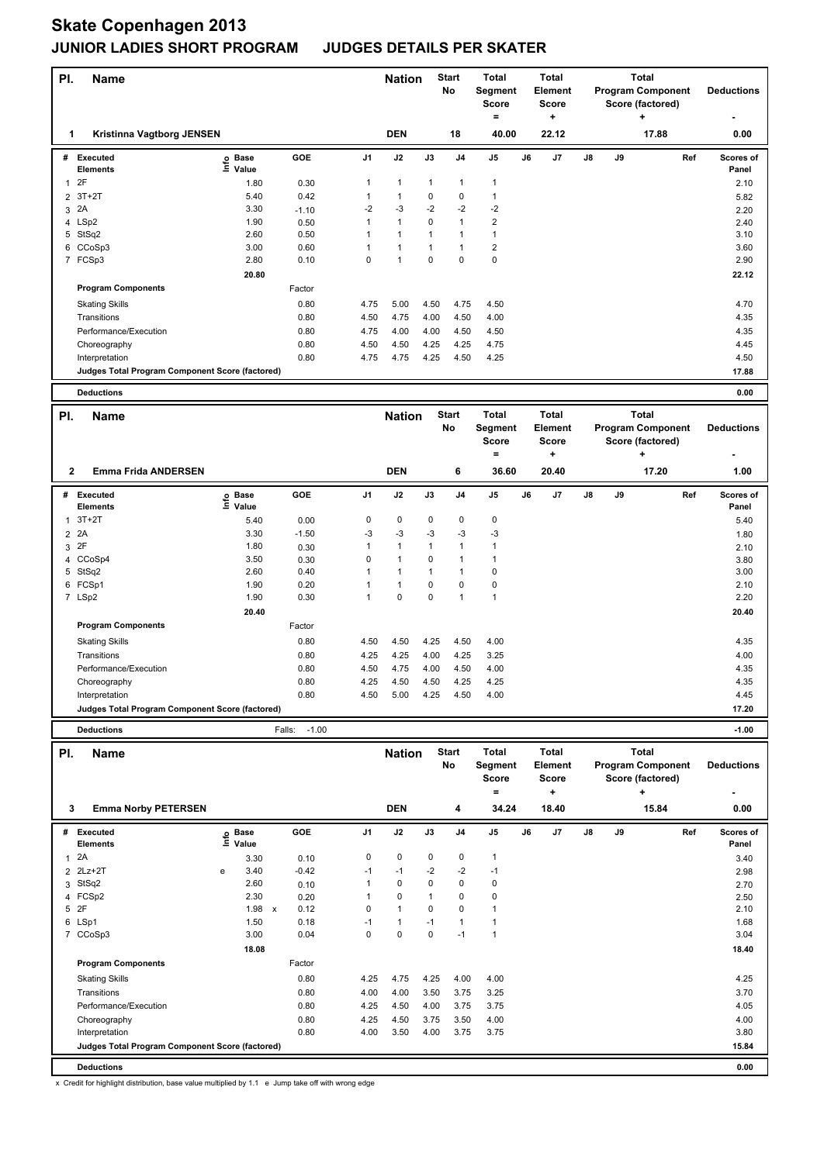| PI.                 | <b>Name</b>                                     |                              |                   |                | <b>Nation</b> |               | <b>Start</b>       | Total                        |    | <b>Total</b>                         |    |    | <b>Total</b>                                      |     |                    |
|---------------------|-------------------------------------------------|------------------------------|-------------------|----------------|---------------|---------------|--------------------|------------------------------|----|--------------------------------------|----|----|---------------------------------------------------|-----|--------------------|
|                     |                                                 |                              |                   |                |               |               | No                 | Segment<br>Score<br>$\equiv$ |    | <b>Element</b><br><b>Score</b><br>٠. |    |    | <b>Program Component</b><br>Score (factored)<br>÷ |     | <b>Deductions</b>  |
| 1                   | Kristinna Vagtborg JENSEN                       |                              |                   |                | <b>DEN</b>    |               | 18                 | 40.00                        |    | 22.12                                |    |    | 17.88                                             |     | 0.00               |
| #                   | Executed<br>Elements                            | <b>Base</b><br>١nfo<br>Value | GOE               | J <sub>1</sub> | J2            | $\mathsf{J3}$ | J4                 | $\mathsf{J}5$                | J6 | J7                                   | J8 | J9 |                                                   | Ref | Scores of<br>Panel |
|                     | 2F                                              |                              |                   | 1              | $\mathbf{1}$  | 1             | 1                  | 1                            |    |                                      |    |    |                                                   |     |                    |
| $\mathbf{1}$        | $3T+2T$                                         | 1.80<br>5.40                 | 0.30<br>0.42      | 1              | $\mathbf{1}$  | 0             | 0                  | $\mathbf{1}$                 |    |                                      |    |    |                                                   |     | 2.10               |
| $\overline{2}$<br>3 | 2A                                              | 3.30                         | $-1.10$           | $-2$           | $-3$          | $-2$          | $-2$               | $-2$                         |    |                                      |    |    |                                                   |     | 5.82<br>2.20       |
| 4                   | LSp2                                            | 1.90                         | 0.50              | 1              | 1             | 0             | 1                  | 2                            |    |                                      |    |    |                                                   |     | 2.40               |
|                     | 5 StSq2                                         | 2.60                         | 0.50              | 1              | 1             | $\mathbf{1}$  | 1                  | 1                            |    |                                      |    |    |                                                   |     | 3.10               |
| 6                   | CCoSp3                                          | 3.00                         | 0.60              | 1              | 1             | 1             | 1                  | $\overline{2}$               |    |                                      |    |    |                                                   |     | 3.60               |
|                     | 7 FCSp3                                         | 2.80                         | 0.10              | 0              | $\mathbf{1}$  | 0             | 0                  | $\mathbf 0$                  |    |                                      |    |    |                                                   |     | 2.90               |
|                     |                                                 | 20.80                        |                   |                |               |               |                    |                              |    |                                      |    |    |                                                   |     | 22.12              |
|                     | <b>Program Components</b>                       |                              | Factor            |                |               |               |                    |                              |    |                                      |    |    |                                                   |     |                    |
|                     | <b>Skating Skills</b>                           |                              | 0.80              | 4.75           | 5.00          | 4.50          | 4.75               | 4.50                         |    |                                      |    |    |                                                   |     | 4.70               |
|                     | Transitions                                     |                              | 0.80              | 4.50           | 4.75          | 4.00          | 4.50               | 4.00                         |    |                                      |    |    |                                                   |     | 4.35               |
|                     | Performance/Execution                           |                              | 0.80              | 4.75           | 4.00          | 4.00          | 4.50               | 4.50                         |    |                                      |    |    |                                                   |     | 4.35               |
|                     | Choreography                                    |                              | 0.80              | 4.50           | 4.50          | 4.25          | 4.25               | 4.75                         |    |                                      |    |    |                                                   |     | 4.45               |
|                     | Interpretation                                  |                              | 0.80              | 4.75           | 4.75          | 4.25          | 4.50               | 4.25                         |    |                                      |    |    |                                                   |     | 4.50               |
|                     | Judges Total Program Component Score (factored) |                              |                   |                |               |               |                    |                              |    |                                      |    |    |                                                   |     | 17.88              |
|                     | <b>Deductions</b>                               |                              |                   |                |               |               |                    |                              |    |                                      |    |    |                                                   |     | 0.00               |
|                     |                                                 |                              |                   |                |               |               |                    |                              |    |                                      |    |    |                                                   |     |                    |
| PI.                 | Name                                            |                              |                   |                | <b>Nation</b> |               | <b>Start</b><br>No | Total<br>Segment             |    | <b>Total</b><br>Element              |    |    | Total<br><b>Program Component</b>                 |     | <b>Deductions</b>  |
|                     |                                                 |                              |                   |                |               |               |                    | <b>Score</b>                 |    | <b>Score</b>                         |    |    | Score (factored)                                  |     |                    |
|                     |                                                 |                              |                   |                |               |               |                    | ۰                            |    | ÷                                    |    |    | ÷                                                 |     |                    |
| 2                   | <b>Emma Frida ANDERSEN</b>                      |                              |                   |                | <b>DEN</b>    |               | 6                  | 36.60                        |    | 20.40                                |    |    | 17.20                                             |     | 1.00               |
| #                   | <b>Executed</b>                                 | <b>Base</b>                  | <b>GOE</b>        | J1             | J2            | J3            | J4                 | J5                           | J6 | J7                                   | J8 | J9 |                                                   | Ref | Scores of          |
|                     | <b>Elements</b>                                 | ۴ů<br>Value                  |                   |                |               |               |                    |                              |    |                                      |    |    |                                                   |     | Panel              |
| $\mathbf{1}$        | $3T+2T$                                         | 5.40                         | 0.00              | 0              | 0             | 0             | 0                  | 0                            |    |                                      |    |    |                                                   |     | 5.40               |
| $\overline{2}$      | 2A                                              | 3.30                         | $-1.50$           | $-3$           | $-3$          | -3            | $-3$               | -3                           |    |                                      |    |    |                                                   |     | 1.80               |
| 3                   | 2F                                              | 1.80                         | 0.30              | 1              | $\mathbf{1}$  | $\mathbf{1}$  | 1                  | 1                            |    |                                      |    |    |                                                   |     | 2.10               |
| 4                   | CCoSp4                                          | 3.50                         | 0.30              | 0              | $\mathbf{1}$  | 0             | 1                  | 1                            |    |                                      |    |    |                                                   |     | 3.80               |
|                     | 5 StSq2                                         | 2.60                         | 0.40              | 1              | 1             | 1             | 1                  | 0                            |    |                                      |    |    |                                                   |     | 3.00               |
| 6                   | FCSp1                                           | 1.90                         | 0.20              | 1              | 1             | 0             | 0                  | 0                            |    |                                      |    |    |                                                   |     | 2.10               |
|                     | 7 LSp2                                          | 1.90                         | 0.30              | 1              | 0             | 0             | 1                  | $\mathbf{1}$                 |    |                                      |    |    |                                                   |     | 2.20               |
|                     |                                                 | 20.40                        |                   |                |               |               |                    |                              |    |                                      |    |    |                                                   |     | 20.40              |
|                     | <b>Program Components</b>                       |                              | Factor            |                |               |               |                    |                              |    |                                      |    |    |                                                   |     |                    |
|                     | <b>Skating Skills</b>                           |                              | 0.80              | 4.50           | 4.50          | 4.25          | 4.50               | 4.00                         |    |                                      |    |    |                                                   |     | 4.35               |
|                     | Transitions                                     |                              | 0.80              | 4.25           | 4.25          | 4.00          | 4.25               | 3.25                         |    |                                      |    |    |                                                   |     | 4.00               |
|                     | Performance/Execution                           |                              | 0.80              | 4.50           | 4.75          | 4.00          | 4.50               | 4.00                         |    |                                      |    |    |                                                   |     | 4.35               |
|                     | Choreography                                    |                              | 0.80              | 4.25           | 4.50          | 4.50          | 4.25               | 4.25                         |    |                                      |    |    |                                                   |     | 4.35               |
|                     | Interpretation                                  |                              | 0.80              | 4.50           | 5.00          | 4.25          | 4.50               | 4.00                         |    |                                      |    |    |                                                   |     | 4.45               |
|                     | Judges Total Program Component Score (factored) |                              |                   |                |               |               |                    |                              |    |                                      |    |    |                                                   |     | 17.20              |
|                     | <b>Deductions</b>                               |                              | $-1.00$<br>Falls: |                |               |               |                    |                              |    |                                      |    |    |                                                   |     | $-1.00$            |
| PI.                 | <b>Name</b>                                     |                              |                   |                | <b>Nation</b> |               | <b>Start</b>       | <b>Total</b>                 |    | <b>Total</b>                         |    |    | Total                                             |     |                    |
|                     |                                                 |                              |                   |                |               |               | No                 | Segment                      |    | Element                              |    |    | <b>Program Component</b>                          |     | <b>Deductions</b>  |
|                     |                                                 |                              |                   |                |               |               |                    | Score                        |    | Score                                |    |    | Score (factored)                                  |     |                    |
|                     |                                                 |                              |                   |                |               |               |                    | $\equiv$                     |    | ÷                                    |    |    | +                                                 |     |                    |
| 3                   | <b>Emma Norby PETERSEN</b>                      |                              |                   |                | <b>DEN</b>    |               | 4                  | 34.24                        |    | 18.40                                |    |    | 15.84                                             |     | 0.00               |
|                     | # Executed                                      | e Base<br>⊆ Value            | GOE               | J1             | J2            | J3            | J4                 | J5                           | J6 | J7                                   | J8 | J9 |                                                   | Ref | Scores of          |
|                     | Elements                                        |                              |                   |                |               |               |                    |                              |    |                                      |    |    |                                                   |     | Panel              |
| $\mathbf{1}$        | 2A                                              | 3.30                         | 0.10              | 0              | 0             | 0             | 0                  | $\mathbf{1}$                 |    |                                      |    |    |                                                   |     | 3.40               |
| 2                   | $2Lz+2T$                                        | 3.40<br>e                    | $-0.42$           | $-1$           | $-1$<br>0     | $-2$<br>0     | $-2$<br>0          | $-1$<br>$\pmb{0}$            |    |                                      |    |    |                                                   |     | 2.98               |
| 3                   | StSq2<br>4 FCSp2                                | 2.60<br>2.30                 | 0.10              | 1<br>1         | 0             | 1             | 0                  | 0                            |    |                                      |    |    |                                                   |     | 2.70               |
| 5                   | 2F                                              | 1.98<br>$\mathbf{x}$         | 0.20<br>0.12      | 0              | $\mathbf{1}$  | 0             | 0                  | $\mathbf{1}$                 |    |                                      |    |    |                                                   |     | 2.50<br>2.10       |
|                     | 6 LSp1                                          | 1.50                         | 0.18              | $-1$           | 1             | $-1$          | 1                  | 1                            |    |                                      |    |    |                                                   |     | 1.68               |
|                     | 7 CCoSp3                                        | 3.00                         | 0.04              | 0              | 0             | 0             | $-1$               | $\mathbf{1}$                 |    |                                      |    |    |                                                   |     | 3.04               |
|                     |                                                 | 18.08                        |                   |                |               |               |                    |                              |    |                                      |    |    |                                                   |     | 18.40              |
|                     | <b>Program Components</b>                       |                              | Factor            |                |               |               |                    |                              |    |                                      |    |    |                                                   |     |                    |
|                     | <b>Skating Skills</b>                           |                              | 0.80              | 4.25           | 4.75          | 4.25          | 4.00               | 4.00                         |    |                                      |    |    |                                                   |     | 4.25               |
|                     | Transitions                                     |                              | 0.80              | 4.00           | 4.00          | 3.50          | 3.75               | 3.25                         |    |                                      |    |    |                                                   |     | 3.70               |
|                     | Performance/Execution                           |                              | 0.80              | 4.25           | 4.50          | 4.00          | 3.75               | 3.75                         |    |                                      |    |    |                                                   |     | 4.05               |
|                     | Choreography                                    |                              | 0.80              | 4.25           | 4.50          | 3.75          | 3.50               | 4.00                         |    |                                      |    |    |                                                   |     | 4.00               |
|                     | Interpretation                                  |                              | 0.80              | 4.00           | 3.50          | 4.00          | 3.75               | 3.75                         |    |                                      |    |    |                                                   |     | 3.80               |

**Judges Total Program Component Score (factored) 15.84**

**Deductions 0.00**

x Credit for highlight distribution, base value multiplied by 1.1 e Jump take off with wrong edge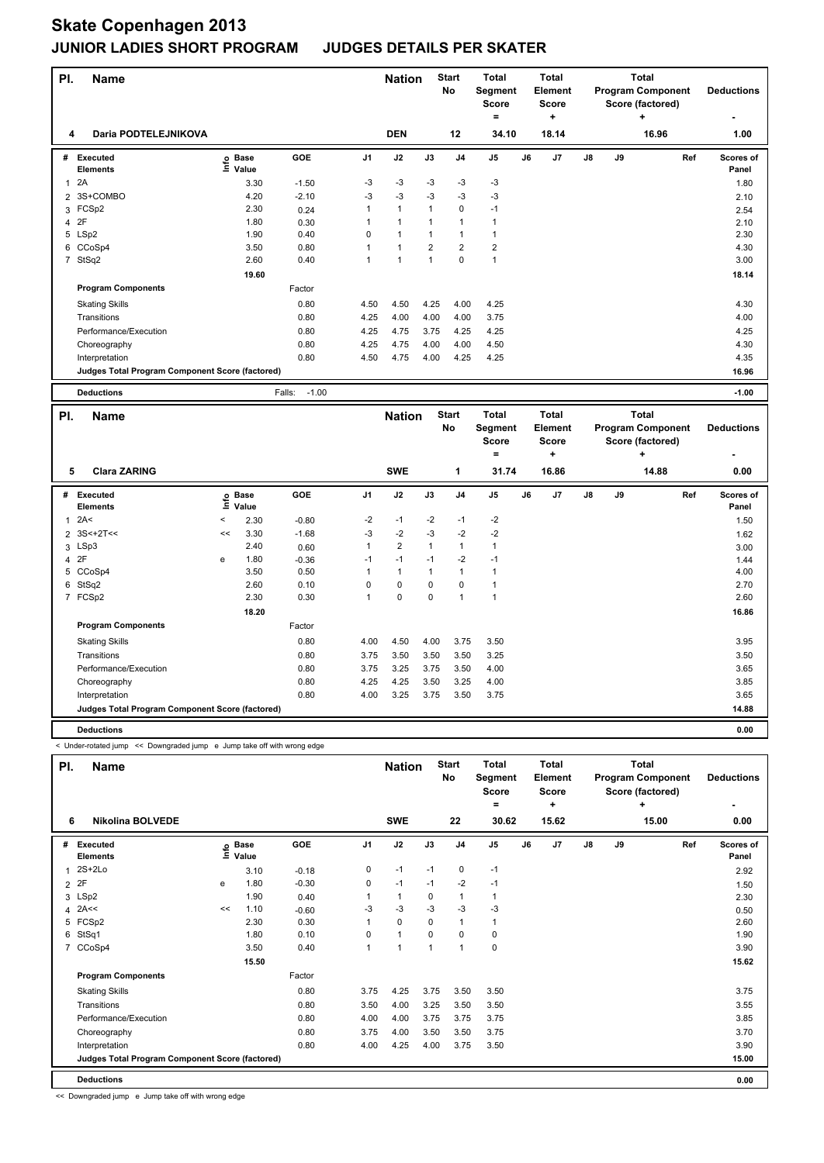| PI.                     | <b>Name</b>                                     |         |                      |                   |                | <b>Nation</b>  |              | <b>Start</b><br>No | <b>Total</b><br>Segment<br><b>Score</b><br>$=$ |    | <b>Total</b><br>Element<br><b>Score</b><br>÷ |    |    | <b>Total</b><br><b>Program Component</b><br>Score (factored)<br>÷ |     | <b>Deductions</b>         |
|-------------------------|-------------------------------------------------|---------|----------------------|-------------------|----------------|----------------|--------------|--------------------|------------------------------------------------|----|----------------------------------------------|----|----|-------------------------------------------------------------------|-----|---------------------------|
| 4                       | Daria PODTELEJNIKOVA                            |         |                      |                   |                | <b>DEN</b>     |              | 12                 | 34.10                                          |    | 18.14                                        |    |    | 16.96                                                             |     | 1.00                      |
|                         | # Executed<br><b>Elements</b>                   | ١nfo    | <b>Base</b><br>Value | <b>GOE</b>        | J <sub>1</sub> | J2             | J3           | J <sub>4</sub>     | J5                                             | J6 | J7                                           | J8 | J9 |                                                                   | Ref | Scores of<br>Panel        |
| $\mathbf{1}$            | 2A                                              |         | 3.30                 | $-1.50$           | $-3$           | $-3$           | $-3$         | $-3$               | $-3$                                           |    |                                              |    |    |                                                                   |     | 1.80                      |
| $\overline{2}$          | 3S+COMBO                                        |         | 4.20                 | $-2.10$           | $-3$           | $-3$           | $-3$         | $-3$               | -3                                             |    |                                              |    |    |                                                                   |     | 2.10                      |
|                         | 3 FCSp2                                         |         | 2.30                 | 0.24              | 1              | $\mathbf{1}$   | $\mathbf{1}$ | $\mathbf 0$        | $-1$                                           |    |                                              |    |    |                                                                   |     | 2.54                      |
| 4                       | 2F                                              |         | 1.80                 | 0.30              | 1              | $\mathbf{1}$   | $\mathbf{1}$ | $\mathbf{1}$       | $\mathbf{1}$                                   |    |                                              |    |    |                                                                   |     | 2.10                      |
|                         | 5 LSp2                                          |         | 1.90                 | 0.40              | 0              | $\mathbf{1}$   | $\mathbf{1}$ | $\mathbf{1}$       | $\mathbf{1}$                                   |    |                                              |    |    |                                                                   |     | 2.30                      |
|                         | 6 CCoSp4                                        |         | 3.50                 | 0.80              | 1              | $\mathbf{1}$   | 2            | $\overline{2}$     | $\overline{2}$                                 |    |                                              |    |    |                                                                   |     | 4.30                      |
|                         | 7 StSq2                                         |         | 2.60                 | 0.40              | 1              | $\mathbf{1}$   | $\mathbf{1}$ | $\mathbf 0$        | $\mathbf{1}$                                   |    |                                              |    |    |                                                                   |     | 3.00                      |
|                         |                                                 |         | 19.60                |                   |                |                |              |                    |                                                |    |                                              |    |    |                                                                   |     | 18.14                     |
|                         | <b>Program Components</b>                       |         |                      | Factor            |                |                |              |                    |                                                |    |                                              |    |    |                                                                   |     |                           |
|                         | <b>Skating Skills</b>                           |         |                      | 0.80              | 4.50           | 4.50           | 4.25         | 4.00               | 4.25                                           |    |                                              |    |    |                                                                   |     | 4.30                      |
|                         | Transitions                                     |         |                      | 0.80              | 4.25           | 4.00           | 4.00         | 4.00               | 3.75                                           |    |                                              |    |    |                                                                   |     | 4.00                      |
|                         | Performance/Execution                           |         |                      | 0.80              | 4.25           | 4.75           | 3.75         | 4.25               | 4.25                                           |    |                                              |    |    |                                                                   |     | 4.25                      |
|                         | Choreography                                    |         |                      | 0.80              | 4.25           | 4.75           | 4.00         | 4.00               | 4.50                                           |    |                                              |    |    |                                                                   |     | 4.30                      |
|                         | Interpretation                                  |         |                      | 0.80              | 4.50           | 4.75           | 4.00         | 4.25               | 4.25                                           |    |                                              |    |    |                                                                   |     | 4.35                      |
|                         | Judges Total Program Component Score (factored) |         |                      |                   |                |                |              |                    |                                                |    |                                              |    |    |                                                                   |     | 16.96                     |
|                         |                                                 |         |                      |                   |                |                |              |                    |                                                |    |                                              |    |    |                                                                   |     |                           |
|                         |                                                 |         |                      |                   |                |                |              |                    |                                                |    |                                              |    |    |                                                                   |     |                           |
|                         | <b>Deductions</b>                               |         |                      | $-1.00$<br>Falls: |                |                |              |                    |                                                |    |                                              |    |    |                                                                   |     | $-1.00$                   |
| PI.                     | Name                                            |         |                      |                   |                | <b>Nation</b>  |              | <b>Start</b><br>No | <b>Total</b><br>Segment<br>Score               |    | <b>Total</b><br>Element<br><b>Score</b>      |    |    | <b>Total</b><br><b>Program Component</b><br>Score (factored)      |     | <b>Deductions</b>         |
|                         |                                                 |         |                      |                   |                |                |              |                    | ۰                                              |    | ÷                                            |    |    | ٠                                                                 |     |                           |
| 5                       | <b>Clara ZARING</b>                             |         |                      |                   |                | <b>SWE</b>     |              | 1                  | 31.74                                          |    | 16.86                                        |    |    | 14.88                                                             |     | 0.00                      |
|                         | # Executed<br>Elements                          | ١nf٥    | <b>Base</b><br>Value | <b>GOE</b>        | J <sub>1</sub> | J2             | J3           | J <sub>4</sub>     | J <sub>5</sub>                                 | J6 | J7                                           | J8 | J9 |                                                                   | Ref | <b>Scores of</b><br>Panel |
| 1                       | 2A<                                             | $\prec$ | 2.30                 | $-0.80$           | $-2$           | $-1$           | $-2$         | $-1$               | $-2$                                           |    |                                              |    |    |                                                                   |     | 1.50                      |
| $\overline{2}$          | $3S<+2T<$                                       | <<      | 3.30                 | $-1.68$           | $-3$           | $-2$           | $-3$         | $-2$               | $-2$                                           |    |                                              |    |    |                                                                   |     |                           |
|                         |                                                 |         | 2.40                 | 0.60              | $\mathbf{1}$   | $\overline{2}$ | $\mathbf{1}$ | $\mathbf{1}$       | $\mathbf{1}$                                   |    |                                              |    |    |                                                                   |     | 1.62<br>3.00              |
| $\overline{\mathbf{4}}$ | 3 LSp3<br>2F                                    | e       | 1.80                 |                   | $-1$           | $-1$           | $-1$         | $-2$               | $-1$                                           |    |                                              |    |    |                                                                   |     |                           |
| 5                       | CCoSp4                                          |         | 3.50                 | $-0.36$<br>0.50   | 1              | $\mathbf{1}$   | $\mathbf{1}$ | $\mathbf{1}$       | $\mathbf{1}$                                   |    |                                              |    |    |                                                                   |     | 1.44<br>4.00              |
|                         |                                                 |         | 2.60                 | 0.10              | 0              | $\mathbf 0$    | 0            | $\mathbf 0$        | $\mathbf{1}$                                   |    |                                              |    |    |                                                                   |     | 2.70                      |
|                         | 6 StSq2<br>7 FCSp2                              |         | 2.30                 | 0.30              | $\mathbf{1}$   | $\Omega$       | $\mathbf 0$  | $\overline{1}$     | $\mathbf{1}$                                   |    |                                              |    |    |                                                                   |     | 2.60                      |
|                         |                                                 |         |                      |                   |                |                |              |                    |                                                |    |                                              |    |    |                                                                   |     |                           |
|                         | <b>Program Components</b>                       |         | 18.20                | Factor            |                |                |              |                    |                                                |    |                                              |    |    |                                                                   |     | 16.86                     |
|                         | <b>Skating Skills</b>                           |         |                      | 0.80              | 4.00           | 4.50           | 4.00         | 3.75               | 3.50                                           |    |                                              |    |    |                                                                   |     | 3.95                      |

Interpretation 0.80 4.00 3.25 3.75 3.50 3.75 3.65 **Judges Total Program Component Score (factored) 14.88**

**Deductions 0.00**

< Under-rotated jump << Downgraded jump e Jump take off with wrong edge

| PI.            | Name                                            |    |                            | <b>Nation</b> |          | <b>Start</b><br>No   | <b>Total</b><br>Segment<br><b>Score</b><br>$\equiv$ |                | <b>Total</b><br><b>Element</b><br><b>Score</b><br>٠ |    |       | <b>Total</b><br><b>Program Component</b><br>Score (factored)<br>÷ | <b>Deductions</b> |       |                           |
|----------------|-------------------------------------------------|----|----------------------------|---------------|----------|----------------------|-----------------------------------------------------|----------------|-----------------------------------------------------|----|-------|-------------------------------------------------------------------|-------------------|-------|---------------------------|
| 6              | <b>Nikolina BOLVEDE</b>                         |    |                            |               |          | <b>SWE</b>           |                                                     | 22             | 30.62                                               |    | 15.62 |                                                                   |                   | 15.00 | 0.00                      |
| #              | <b>Executed</b><br><b>Elements</b>              |    | e Base<br>E Value<br>Value | GOE           | J1       | J2                   | J3                                                  | J <sub>4</sub> | J <sub>5</sub>                                      | J6 | J7    | J8                                                                | J9                | Ref   | <b>Scores of</b><br>Panel |
|                | $2S+2Lo$                                        |    | 3.10                       | $-0.18$       | 0        | $-1$                 | $-1$                                                | $\mathbf 0$    | $-1$                                                |    |       |                                                                   |                   |       | 2.92                      |
| 2              | 2F                                              | e  | 1.80                       | $-0.30$       | 0        | $-1$                 | $-1$                                                | $-2$           | $-1$                                                |    |       |                                                                   |                   |       | 1.50                      |
|                | 3 LSp2                                          |    | 1.90                       | 0.40          | 1        | $\mathbf{1}$         | 0                                                   | $\mathbf{1}$   | 1                                                   |    |       |                                                                   |                   |       | 2.30                      |
| $\overline{4}$ | 2A<<                                            | << | 1.10                       | $-0.60$       | $-3$     | $-3$                 | $-3$                                                | $-3$           | $-3$                                                |    |       |                                                                   |                   |       | 0.50                      |
| 5              | FCSp2                                           |    | 2.30                       | 0.30          | 1        | 0                    | 0                                                   | $\mathbf{1}$   | 1                                                   |    |       |                                                                   |                   |       | 2.60                      |
| 6              | StSq1                                           |    | 1.80                       | 0.10          | $\Omega$ | 1                    | 0                                                   | 0              | 0                                                   |    |       |                                                                   |                   |       | 1.90                      |
| 7              | CCoSp4                                          |    | 3.50                       | 0.40          | 1        | $\blacktriangleleft$ | 1                                                   | $\overline{1}$ | 0                                                   |    |       |                                                                   |                   |       | 3.90                      |
|                |                                                 |    | 15.50                      |               |          |                      |                                                     |                |                                                     |    |       |                                                                   |                   |       | 15.62                     |
|                | <b>Program Components</b>                       |    |                            | Factor        |          |                      |                                                     |                |                                                     |    |       |                                                                   |                   |       |                           |
|                | <b>Skating Skills</b>                           |    |                            | 0.80          | 3.75     | 4.25                 | 3.75                                                | 3.50           | 3.50                                                |    |       |                                                                   |                   |       | 3.75                      |
|                | Transitions                                     |    |                            | 0.80          | 3.50     | 4.00                 | 3.25                                                | 3.50           | 3.50                                                |    |       |                                                                   |                   |       | 3.55                      |
|                | Performance/Execution                           |    |                            | 0.80          | 4.00     | 4.00                 | 3.75                                                | 3.75           | 3.75                                                |    |       |                                                                   |                   |       | 3.85                      |
|                | Choreography                                    |    |                            | 0.80          | 3.75     | 4.00                 | 3.50                                                | 3.50           | 3.75                                                |    |       |                                                                   |                   |       | 3.70                      |
|                | Interpretation                                  |    |                            | 0.80          | 4.00     | 4.25                 | 4.00                                                | 3.75           | 3.50                                                |    |       |                                                                   |                   |       | 3.90                      |
|                | Judges Total Program Component Score (factored) |    |                            |               |          |                      |                                                     |                |                                                     |    |       |                                                                   |                   |       | 15.00                     |
|                | <b>Deductions</b>                               |    |                            |               |          |                      |                                                     |                |                                                     |    |       |                                                                   |                   |       | 0.00                      |

Performance/Execution 0.80 3.75 3.25 3.75 3.50 4.00 3.65 Choreography 0.80 4.25 4.25 3.50 3.25 4.00 3.85

<< Downgraded jump e Jump take off with wrong edge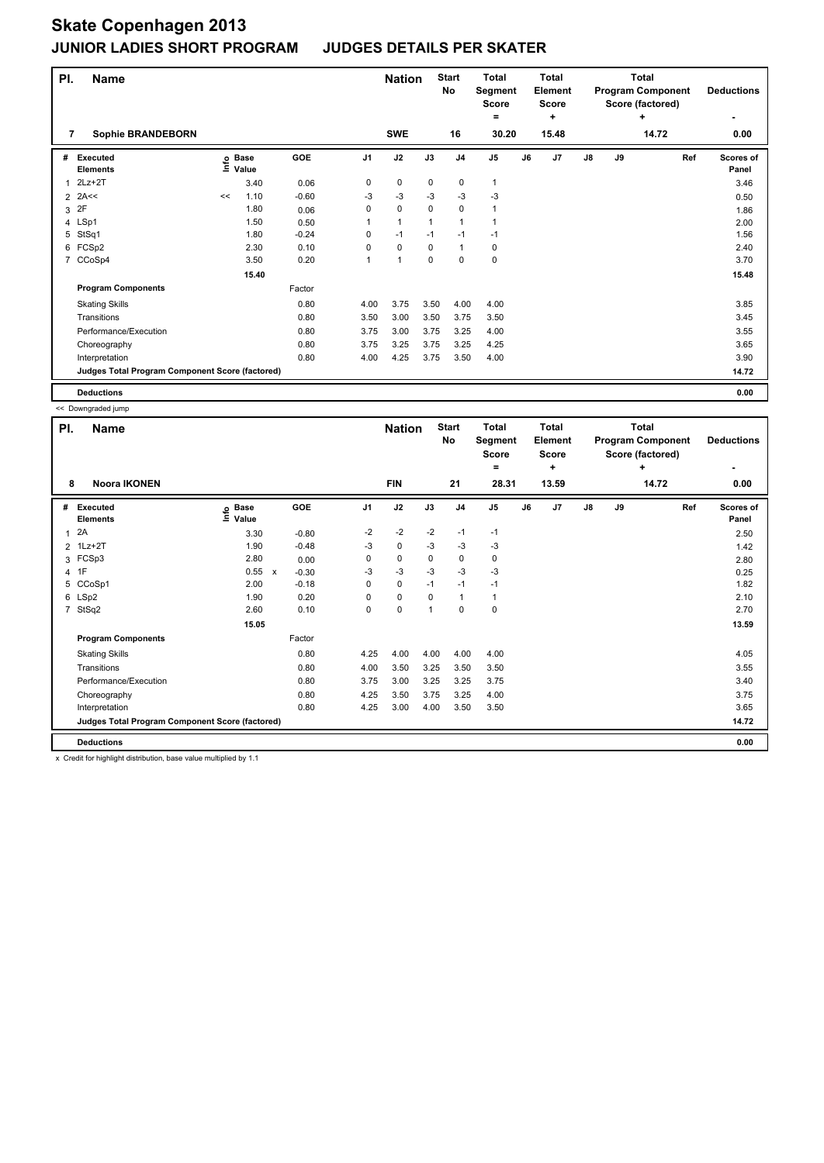| PI. | <b>Name</b><br>7                                |    |                   |            |                | <b>Nation</b> |              | <b>Start</b><br><b>No</b> | <b>Total</b><br>Segment<br><b>Score</b><br>$=$ |    | <b>Total</b><br>Element<br>Score<br>٠ |               |    | <b>Total</b><br><b>Program Component</b><br>Score (factored)<br>٠ | <b>Deductions</b>  |
|-----|-------------------------------------------------|----|-------------------|------------|----------------|---------------|--------------|---------------------------|------------------------------------------------|----|---------------------------------------|---------------|----|-------------------------------------------------------------------|--------------------|
|     | <b>Sophie BRANDEBORN</b>                        |    |                   |            |                | <b>SWE</b>    |              | 16                        | 30.20                                          |    | 15.48                                 |               |    | 14.72                                                             | 0.00               |
| #   | <b>Executed</b><br><b>Elements</b>              |    | e Base<br>⊆ Value | <b>GOE</b> | J <sub>1</sub> | J2            | J3           | J <sub>4</sub>            | J <sub>5</sub>                                 | J6 | J <sub>7</sub>                        | $\mathsf{J}8$ | J9 | Ref                                                               | Scores of<br>Panel |
|     | $2Lz+2T$                                        |    | 3.40              | 0.06       | 0              | 0             | 0            | 0                         | 1                                              |    |                                       |               |    |                                                                   | 3.46               |
| 2   | 2A<<                                            | << | 1.10              | $-0.60$    | -3             | $-3$          | $-3$         | $-3$                      | $-3$                                           |    |                                       |               |    |                                                                   | 0.50               |
| 3   | 2F                                              |    | 1.80              | 0.06       | 0              | $\mathbf 0$   | $\Omega$     | $\mathbf 0$               | 1                                              |    |                                       |               |    |                                                                   | 1.86               |
|     | 4 LSp1                                          |    | 1.50              | 0.50       |                | $\mathbf{1}$  | $\mathbf{1}$ | $\mathbf{1}$              | 1                                              |    |                                       |               |    |                                                                   | 2.00               |
| 5   | StSq1                                           |    | 1.80              | $-0.24$    | 0              | $-1$          | $-1$         | $-1$                      | $-1$                                           |    |                                       |               |    |                                                                   | 1.56               |
| 6   | FCSp2                                           |    | 2.30              | 0.10       | 0              | $\mathbf 0$   | $\mathbf 0$  | $\mathbf{1}$              | 0                                              |    |                                       |               |    |                                                                   | 2.40               |
| 7   | CCoSp4                                          |    | 3.50              | 0.20       | 1              | 1             | 0            | $\mathbf 0$               | 0                                              |    |                                       |               |    |                                                                   | 3.70               |
|     |                                                 |    | 15.40             |            |                |               |              |                           |                                                |    |                                       |               |    |                                                                   | 15.48              |
|     | <b>Program Components</b>                       |    |                   | Factor     |                |               |              |                           |                                                |    |                                       |               |    |                                                                   |                    |
|     | <b>Skating Skills</b>                           |    |                   | 0.80       | 4.00           | 3.75          | 3.50         | 4.00                      | 4.00                                           |    |                                       |               |    |                                                                   | 3.85               |
|     | Transitions                                     |    |                   | 0.80       | 3.50           | 3.00          | 3.50         | 3.75                      | 3.50                                           |    |                                       |               |    |                                                                   | 3.45               |
|     | Performance/Execution                           |    |                   | 0.80       | 3.75           | 3.00          | 3.75         | 3.25                      | 4.00                                           |    |                                       |               |    |                                                                   | 3.55               |
|     | Choreography                                    |    |                   | 0.80       | 3.75           | 3.25          | 3.75         | 3.25                      | 4.25                                           |    |                                       |               |    |                                                                   | 3.65               |
|     | Interpretation                                  |    |                   | 0.80       | 4.00           | 4.25          | 3.75         | 3.50                      | 4.00                                           |    |                                       |               |    |                                                                   | 3.90               |
|     | Judges Total Program Component Score (factored) |    |                   |            |                |               |              |                           |                                                |    |                                       |               |    |                                                                   | 14.72              |
|     | <b>Deductions</b>                               |    |                   |            |                |               |              |                           |                                                |    |                                       |               |    |                                                                   | 0.00               |

<< Downgraded jump

| PI.            | <b>Name</b>                                     |                            |                           |         |                | <b>Nation</b> |              | <b>Start</b><br>No | <b>Total</b><br>Segment<br><b>Score</b><br>٠ |    | <b>Total</b><br>Element<br><b>Score</b><br>٠ |               |    | Total<br><b>Program Component</b><br>Score (factored)<br>÷ | <b>Deductions</b>  |
|----------------|-------------------------------------------------|----------------------------|---------------------------|---------|----------------|---------------|--------------|--------------------|----------------------------------------------|----|----------------------------------------------|---------------|----|------------------------------------------------------------|--------------------|
| 8              | <b>Noora IKONEN</b>                             |                            |                           |         |                | <b>FIN</b>    |              | 21                 | 28.31                                        |    | 13.59                                        |               |    | 14.72                                                      | 0.00               |
| #              | Executed<br><b>Elements</b>                     | <b>Base</b><br>١m<br>Value | <b>GOE</b>                |         | J <sub>1</sub> | J2            | J3           | J <sub>4</sub>     | J <sub>5</sub>                               | J6 | J7                                           | $\mathsf{J}8$ | J9 | Ref                                                        | Scores of<br>Panel |
| $\mathbf{1}$   | 2A                                              | 3.30                       |                           | $-0.80$ | $-2$           | $-2$          | $-2$         | $-1$               | $-1$                                         |    |                                              |               |    |                                                            | 2.50               |
|                | 2 1Lz+2T                                        | 1.90                       |                           | $-0.48$ | -3             | $\pmb{0}$     | $-3$         | -3                 | -3                                           |    |                                              |               |    |                                                            | 1.42               |
|                | 3 FCSp3                                         | 2.80                       |                           | 0.00    | 0              | $\mathbf 0$   | 0            | $\pmb{0}$          | 0                                            |    |                                              |               |    |                                                            | 2.80               |
|                | 4 1F                                            | 0.55                       | $\boldsymbol{\mathsf{x}}$ | $-0.30$ | -3             | $-3$          | -3           | -3                 | $-3$                                         |    |                                              |               |    |                                                            | 0.25               |
| 5              | CCoSp1                                          | 2.00                       |                           | $-0.18$ | 0              | $\mathbf 0$   | $-1$         | $-1$               | $-1$                                         |    |                                              |               |    |                                                            | 1.82               |
|                | 6 LSp2                                          | 1.90                       |                           | 0.20    | 0              | $\mathbf 0$   | $\mathbf 0$  | $\mathbf{1}$       | $\mathbf{1}$                                 |    |                                              |               |    |                                                            | 2.10               |
| $\overline{7}$ | StSq2                                           | 2.60                       |                           | 0.10    | 0              | $\pmb{0}$     | $\mathbf{1}$ | $\mathbf 0$        | $\pmb{0}$                                    |    |                                              |               |    |                                                            | 2.70               |
|                |                                                 | 15.05                      |                           |         |                |               |              |                    |                                              |    |                                              |               |    |                                                            | 13.59              |
|                | <b>Program Components</b>                       |                            | Factor                    |         |                |               |              |                    |                                              |    |                                              |               |    |                                                            |                    |
|                | <b>Skating Skills</b>                           |                            |                           | 0.80    | 4.25           | 4.00          | 4.00         | 4.00               | 4.00                                         |    |                                              |               |    |                                                            | 4.05               |
|                | Transitions                                     |                            |                           | 0.80    | 4.00           | 3.50          | 3.25         | 3.50               | 3.50                                         |    |                                              |               |    |                                                            | 3.55               |
|                | Performance/Execution                           |                            |                           | 0.80    | 3.75           | 3.00          | 3.25         | 3.25               | 3.75                                         |    |                                              |               |    |                                                            | 3.40               |
|                | Choreography                                    |                            |                           | 0.80    | 4.25           | 3.50          | 3.75         | 3.25               | 4.00                                         |    |                                              |               |    |                                                            | 3.75               |
|                | Interpretation                                  |                            |                           | 0.80    | 4.25           | 3.00          | 4.00         | 3.50               | 3.50                                         |    |                                              |               |    |                                                            | 3.65               |
|                | Judges Total Program Component Score (factored) |                            |                           |         |                |               |              |                    |                                              |    |                                              |               |    |                                                            | 14.72              |
|                | <b>Deductions</b>                               |                            |                           |         |                |               |              |                    |                                              |    |                                              |               |    |                                                            | 0.00               |

x Credit for highlight distribution, base value multiplied by 1.1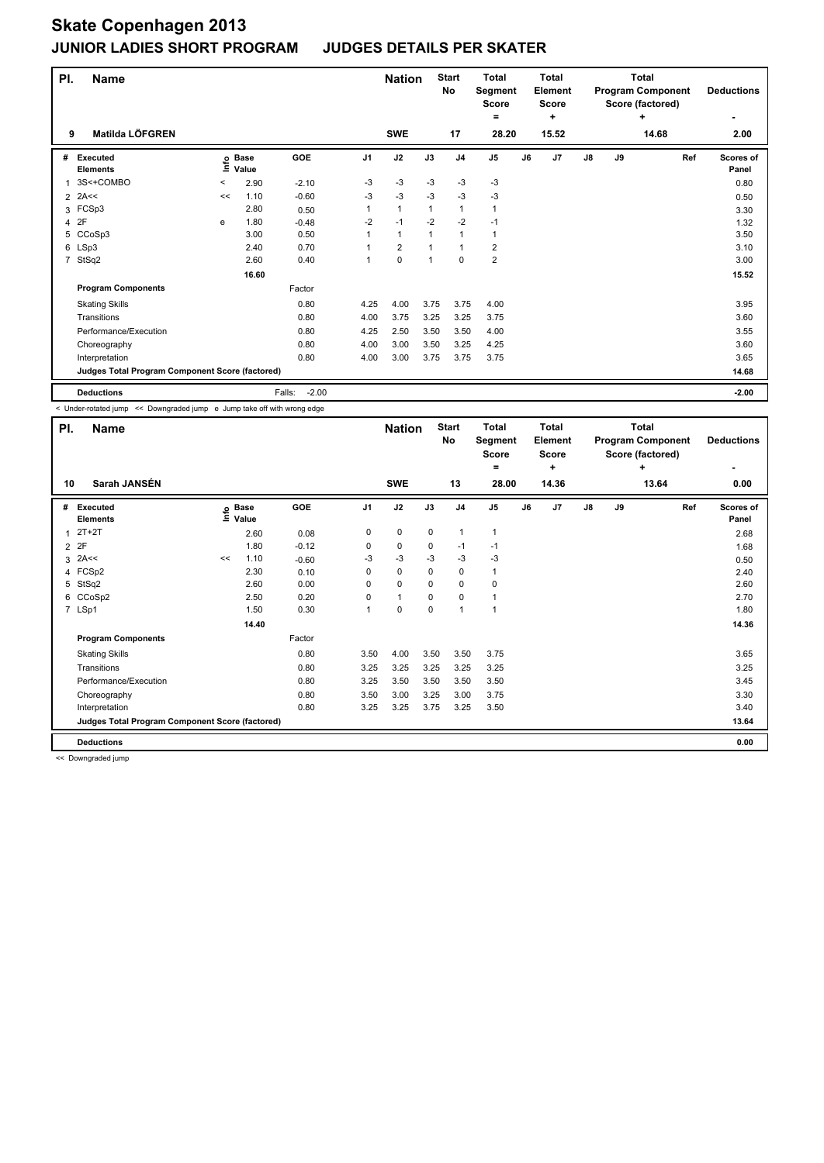| PI.            | <b>Name</b>                                     |         |                   |                   |                      | <b>Nation</b>  |      | <b>Start</b><br>No | <b>Total</b><br>Segment<br><b>Score</b><br>= |    | <b>Total</b><br>Element<br><b>Score</b><br>÷ |    |    | <b>Total</b><br><b>Program Component</b><br>Score (factored)<br>÷ | <b>Deductions</b><br>$\overline{\phantom{0}}$ |
|----------------|-------------------------------------------------|---------|-------------------|-------------------|----------------------|----------------|------|--------------------|----------------------------------------------|----|----------------------------------------------|----|----|-------------------------------------------------------------------|-----------------------------------------------|
| 9              | Matilda LÖFGREN                                 |         |                   |                   |                      | <b>SWE</b>     |      | 17                 | 28.20                                        |    | 15.52                                        |    |    | 14.68                                                             | 2.00                                          |
| #              | <b>Executed</b><br><b>Elements</b>              |         | e Base<br>⊆ Value | GOE               | J1                   | J2             | J3   | J <sub>4</sub>     | J <sub>5</sub>                               | J6 | J <sub>7</sub>                               | J8 | J9 | Ref                                                               | <b>Scores of</b><br>Panel                     |
|                | 3S<+COMBO                                       | $\,<\,$ | 2.90              | $-2.10$           | $-3$                 | $-3$           | $-3$ | $-3$               | $-3$                                         |    |                                              |    |    |                                                                   | 0.80                                          |
| $\overline{2}$ | 2A<<                                            | <<      | 1.10              | $-0.60$           | $-3$                 | $-3$           | $-3$ | $-3$               | $-3$                                         |    |                                              |    |    |                                                                   | 0.50                                          |
| 3              | FCSp3                                           |         | 2.80              | 0.50              |                      | $\mathbf{1}$   | 1    | $\mathbf{1}$       | 1                                            |    |                                              |    |    |                                                                   | 3.30                                          |
| 4              | 2F                                              | e       | 1.80              | $-0.48$           | $-2$                 | $-1$           | $-2$ | $-2$               | $-1$                                         |    |                                              |    |    |                                                                   | 1.32                                          |
| 5              | CCoSp3                                          |         | 3.00              | 0.50              |                      | $\mathbf{1}$   |      | $\mathbf{1}$       | 1                                            |    |                                              |    |    |                                                                   | 3.50                                          |
| 6              | LSp3                                            |         | 2.40              | 0.70              |                      | $\overline{2}$ |      | $\mathbf{1}$       | 2                                            |    |                                              |    |    |                                                                   | 3.10                                          |
| $\overline{7}$ | StSq2                                           |         | 2.60              | 0.40              | $\blacktriangleleft$ | $\mathbf 0$    | 1    | 0                  | $\overline{\mathbf{c}}$                      |    |                                              |    |    |                                                                   | 3.00                                          |
|                |                                                 |         | 16.60             |                   |                      |                |      |                    |                                              |    |                                              |    |    |                                                                   | 15.52                                         |
|                | <b>Program Components</b>                       |         |                   | Factor            |                      |                |      |                    |                                              |    |                                              |    |    |                                                                   |                                               |
|                | <b>Skating Skills</b>                           |         |                   | 0.80              | 4.25                 | 4.00           | 3.75 | 3.75               | 4.00                                         |    |                                              |    |    |                                                                   | 3.95                                          |
|                | Transitions                                     |         |                   | 0.80              | 4.00                 | 3.75           | 3.25 | 3.25               | 3.75                                         |    |                                              |    |    |                                                                   | 3.60                                          |
|                | Performance/Execution                           |         |                   | 0.80              | 4.25                 | 2.50           | 3.50 | 3.50               | 4.00                                         |    |                                              |    |    |                                                                   | 3.55                                          |
|                | Choreography                                    |         |                   | 0.80              | 4.00                 | 3.00           | 3.50 | 3.25               | 4.25                                         |    |                                              |    |    |                                                                   | 3.60                                          |
|                | Interpretation                                  |         |                   | 0.80              | 4.00                 | 3.00           | 3.75 | 3.75               | 3.75                                         |    |                                              |    |    |                                                                   | 3.65                                          |
|                | Judges Total Program Component Score (factored) |         |                   |                   |                      |                |      |                    |                                              |    |                                              |    |    |                                                                   | 14.68                                         |
|                | <b>Deductions</b>                               |         |                   | $-2.00$<br>Falls: |                      |                |      |                    |                                              |    |                                              |    |    |                                                                   | $-2.00$                                       |

< Under-rotated jump << Downgraded jump e Jump take off with wrong edge

| PI.            | <b>Name</b>                                     |    |                            | <b>Nation</b> |                | <b>Start</b><br>No | <b>Total</b><br>Segment<br><b>Score</b><br>= |                          | <b>Total</b><br>Element<br><b>Score</b><br>٠ |    |       | Total<br><b>Program Component</b><br>Score (factored)<br>٠ | <b>Deductions</b> |       |                    |
|----------------|-------------------------------------------------|----|----------------------------|---------------|----------------|--------------------|----------------------------------------------|--------------------------|----------------------------------------------|----|-------|------------------------------------------------------------|-------------------|-------|--------------------|
| 10             | Sarah JANSÉN                                    |    |                            |               |                | <b>SWE</b>         |                                              | 13                       | 28.00                                        |    | 14.36 |                                                            |                   | 13.64 | 0.00               |
| #              | Executed<br><b>Elements</b>                     |    | e Base<br>E Value<br>Value | GOE           | J <sub>1</sub> | J2                 | J3                                           | J <sub>4</sub>           | J <sub>5</sub>                               | J6 | J7    | $\mathsf{J}8$                                              | J9                | Ref   | Scores of<br>Panel |
| 1              | $2T+2T$                                         |    | 2.60                       | 0.08          | 0              | $\mathbf 0$        | $\mathbf 0$                                  | $\mathbf{1}$             | $\mathbf{1}$                                 |    |       |                                                            |                   |       | 2.68               |
| $\overline{2}$ | 2F                                              |    | 1.80                       | $-0.12$       | 0              | $\mathbf 0$        | $\mathbf 0$                                  | $-1$                     | $-1$                                         |    |       |                                                            |                   |       | 1.68               |
| 3              | 2A<<                                            | << | 1.10                       | $-0.60$       | -3             | $-3$               | $-3$                                         | $-3$                     | $-3$                                         |    |       |                                                            |                   |       | 0.50               |
| 4              | FCSp2                                           |    | 2.30                       | 0.10          | 0              | $\mathbf 0$        | $\mathbf 0$                                  | $\mathbf 0$              | $\mathbf{1}$                                 |    |       |                                                            |                   |       | 2.40               |
| 5              | StSq2                                           |    | 2.60                       | 0.00          | 0              | $\mathbf 0$        | 0                                            | 0                        | 0                                            |    |       |                                                            |                   |       | 2.60               |
| 6              | CCoSp2                                          |    | 2.50                       | 0.20          | $\Omega$       | $\mathbf{1}$       | $\Omega$                                     | 0                        | 1                                            |    |       |                                                            |                   |       | 2.70               |
|                | 7 LSp1                                          |    | 1.50                       | 0.30          |                | $\pmb{0}$          | $\mathbf 0$                                  | $\overline{\phantom{a}}$ | $\mathbf{1}$                                 |    |       |                                                            |                   |       | 1.80               |
|                |                                                 |    | 14.40                      |               |                |                    |                                              |                          |                                              |    |       |                                                            |                   |       | 14.36              |
|                | <b>Program Components</b>                       |    |                            | Factor        |                |                    |                                              |                          |                                              |    |       |                                                            |                   |       |                    |
|                | <b>Skating Skills</b>                           |    |                            | 0.80          | 3.50           | 4.00               | 3.50                                         | 3.50                     | 3.75                                         |    |       |                                                            |                   |       | 3.65               |
|                | Transitions                                     |    |                            | 0.80          | 3.25           | 3.25               | 3.25                                         | 3.25                     | 3.25                                         |    |       |                                                            |                   |       | 3.25               |
|                | Performance/Execution                           |    |                            | 0.80          | 3.25           | 3.50               | 3.50                                         | 3.50                     | 3.50                                         |    |       |                                                            |                   |       | 3.45               |
|                | Choreography                                    |    |                            | 0.80          | 3.50           | 3.00               | 3.25                                         | 3.00                     | 3.75                                         |    |       |                                                            |                   |       | 3.30               |
|                | Interpretation                                  |    |                            | 0.80          | 3.25           | 3.25               | 3.75                                         | 3.25                     | 3.50                                         |    |       |                                                            |                   |       | 3.40               |
|                | Judges Total Program Component Score (factored) |    |                            |               |                |                    |                                              |                          |                                              |    |       |                                                            |                   |       | 13.64              |
|                | <b>Deductions</b>                               |    |                            |               |                |                    |                                              |                          |                                              |    |       |                                                            |                   |       | 0.00               |

<< Downgraded jump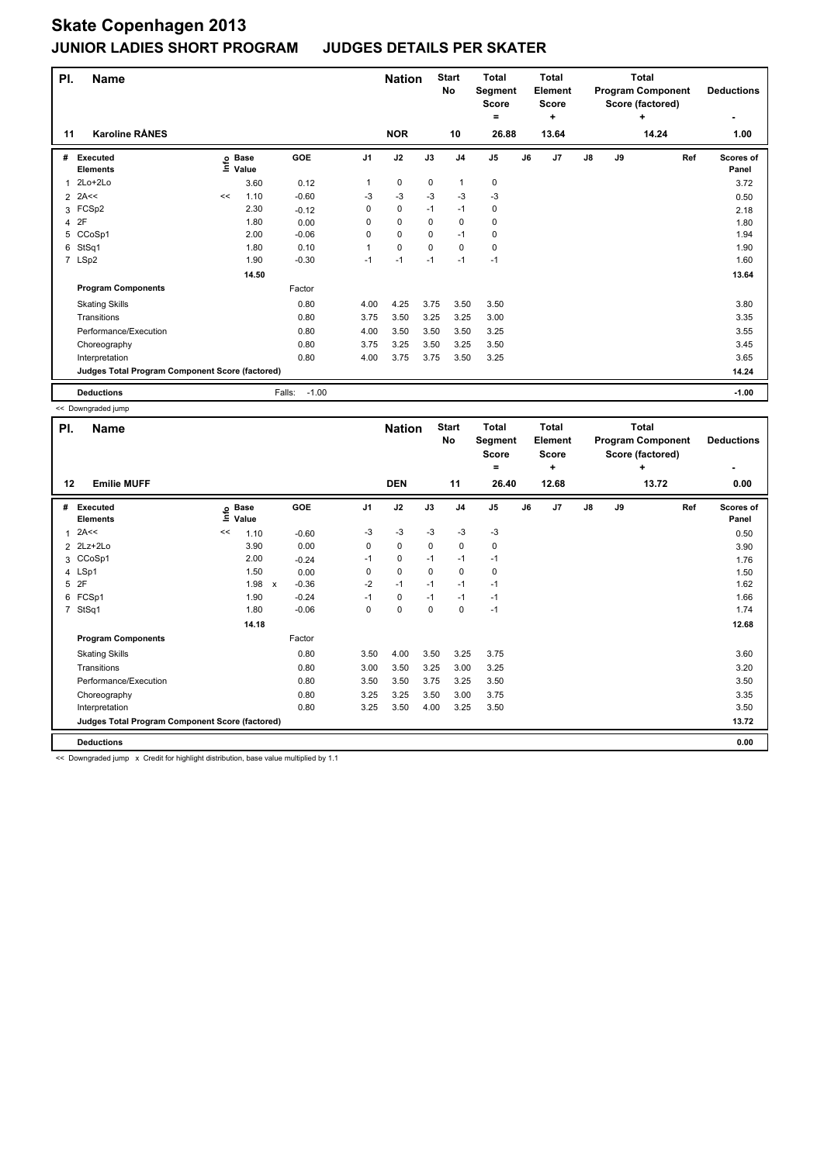| PI.            | <b>Name</b><br><b>Karoline RÅNES</b>            |    |                   |                   |                | <b>Nation</b> |             | <b>Start</b><br><b>No</b> | <b>Total</b><br>Segment<br><b>Score</b><br>۰ |    | <b>Total</b><br>Element<br><b>Score</b><br>٠ |               |    | <b>Total</b><br><b>Program Component</b><br>Score (factored)<br>٠ | <b>Deductions</b>  |
|----------------|-------------------------------------------------|----|-------------------|-------------------|----------------|---------------|-------------|---------------------------|----------------------------------------------|----|----------------------------------------------|---------------|----|-------------------------------------------------------------------|--------------------|
| 11             |                                                 |    |                   |                   |                | <b>NOR</b>    |             | 10                        | 26.88                                        |    | 13.64                                        |               |    | 14.24                                                             | 1.00               |
| #              | <b>Executed</b><br><b>Elements</b>              |    | e Base<br>⊆ Value | GOE               | J <sub>1</sub> | J2            | J3          | J <sub>4</sub>            | J <sub>5</sub>                               | J6 | J <sub>7</sub>                               | $\mathsf{J}8$ | J9 | Ref                                                               | Scores of<br>Panel |
|                | $2Lo+2Lo$                                       |    | 3.60              | 0.12              | 1              | $\mathbf 0$   | $\mathbf 0$ | $\mathbf{1}$              | 0                                            |    |                                              |               |    |                                                                   | 3.72               |
| $\overline{2}$ | 2A<<                                            | << | 1.10              | $-0.60$           | $-3$           | $-3$          | $-3$        | $-3$                      | $-3$                                         |    |                                              |               |    |                                                                   | 0.50               |
| 3              | FCSp2                                           |    | 2.30              | $-0.12$           | 0              | 0             | $-1$        | $-1$                      | 0                                            |    |                                              |               |    |                                                                   | 2.18               |
|                | 4 2F                                            |    | 1.80              | 0.00              | 0              | $\mathbf 0$   | 0           | 0                         | 0                                            |    |                                              |               |    |                                                                   | 1.80               |
| 5              | CCoSp1                                          |    | 2.00              | $-0.06$           | 0              | 0             | $\Omega$    | $-1$                      | 0                                            |    |                                              |               |    |                                                                   | 1.94               |
| 6              | StSq1                                           |    | 1.80              | 0.10              | 1              | 0             | $\Omega$    | $\Omega$                  | 0                                            |    |                                              |               |    |                                                                   | 1.90               |
|                | 7 LSp2                                          |    | 1.90              | $-0.30$           | $-1$           | $-1$          | $-1$        | $-1$                      | $-1$                                         |    |                                              |               |    |                                                                   | 1.60               |
|                |                                                 |    | 14.50             |                   |                |               |             |                           |                                              |    |                                              |               |    |                                                                   | 13.64              |
|                | <b>Program Components</b>                       |    |                   | Factor            |                |               |             |                           |                                              |    |                                              |               |    |                                                                   |                    |
|                | <b>Skating Skills</b>                           |    |                   | 0.80              | 4.00           | 4.25          | 3.75        | 3.50                      | 3.50                                         |    |                                              |               |    |                                                                   | 3.80               |
|                | Transitions                                     |    |                   | 0.80              | 3.75           | 3.50          | 3.25        | 3.25                      | 3.00                                         |    |                                              |               |    |                                                                   | 3.35               |
|                | Performance/Execution                           |    |                   | 0.80              | 4.00           | 3.50          | 3.50        | 3.50                      | 3.25                                         |    |                                              |               |    |                                                                   | 3.55               |
|                | Choreography                                    |    |                   | 0.80              | 3.75           | 3.25          | 3.50        | 3.25                      | 3.50                                         |    |                                              |               |    |                                                                   | 3.45               |
|                | Interpretation                                  |    |                   | 0.80              | 4.00           | 3.75          | 3.75        | 3.50                      | 3.25                                         |    |                                              |               |    |                                                                   | 3.65               |
|                | Judges Total Program Component Score (factored) |    |                   |                   |                |               |             |                           |                                              |    |                                              |               |    |                                                                   | 14.24              |
|                | <b>Deductions</b>                               |    |                   | $-1.00$<br>Falls: |                |               |             |                           |                                              |    |                                              |               |    |                                                                   | $-1.00$            |

<< Downgraded jump

| PI.          | <b>Name</b><br><b>Emilie MUFF</b>               |    |                            |                                      |                | <b>Nation</b> |             | <b>Start</b><br>No | <b>Total</b><br>Segment<br><b>Score</b><br>۰ |    | <b>Total</b><br>Element<br><b>Score</b><br>٠ |               |    | Total<br><b>Program Component</b><br>Score (factored)<br>÷ | <b>Deductions</b>  |
|--------------|-------------------------------------------------|----|----------------------------|--------------------------------------|----------------|---------------|-------------|--------------------|----------------------------------------------|----|----------------------------------------------|---------------|----|------------------------------------------------------------|--------------------|
| 12           |                                                 |    |                            |                                      |                | <b>DEN</b>    |             | 11                 | 26.40                                        |    | 12.68                                        |               |    | 13.72                                                      | 0.00               |
| #            | <b>Executed</b><br><b>Elements</b>              |    | e Base<br>E Value<br>Value | <b>GOE</b>                           | J <sub>1</sub> | J2            | J3          | J <sub>4</sub>     | J <sub>5</sub>                               | J6 | J7                                           | $\mathsf{J}8$ | J9 | Ref                                                        | Scores of<br>Panel |
| $\mathbf{1}$ | 2A<<                                            | << | 1.10                       | $-0.60$                              | -3             | $-3$          | -3          | $-3$               | $-3$                                         |    |                                              |               |    |                                                            | 0.50               |
|              | 2 2Lz+2Lo                                       |    | 3.90                       | 0.00                                 | 0              | $\mathbf 0$   | $\mathbf 0$ | $\mathbf 0$        | $\mathbf 0$                                  |    |                                              |               |    |                                                            | 3.90               |
|              | 3 CCoSp1                                        |    | 2.00                       | $-0.24$                              | $-1$           | $\mathbf 0$   | $-1$        | $-1$               | $-1$                                         |    |                                              |               |    |                                                            | 1.76               |
|              | 4 LSp1                                          |    | 1.50                       | 0.00                                 | 0              | $\mathbf 0$   | $\mathbf 0$ | $\mathbf 0$        | 0                                            |    |                                              |               |    |                                                            | 1.50               |
|              | 5 2F                                            |    | 1.98                       | $-0.36$<br>$\boldsymbol{\mathsf{x}}$ | $-2$           | $-1$          | $-1$        | $-1$               | $-1$                                         |    |                                              |               |    |                                                            | 1.62               |
|              | 6 FCSp1                                         |    | 1.90                       | $-0.24$                              | $-1$           | $\pmb{0}$     | $-1$        | $-1$               | $-1$                                         |    |                                              |               |    |                                                            | 1.66               |
|              | 7 StSq1                                         |    | 1.80                       | $-0.06$                              | 0              | $\mathbf 0$   | 0           | $\mathbf 0$        | $-1$                                         |    |                                              |               |    |                                                            | 1.74               |
|              |                                                 |    | 14.18                      |                                      |                |               |             |                    |                                              |    |                                              |               |    |                                                            | 12.68              |
|              | <b>Program Components</b>                       |    |                            | Factor                               |                |               |             |                    |                                              |    |                                              |               |    |                                                            |                    |
|              | <b>Skating Skills</b>                           |    |                            | 0.80                                 | 3.50           | 4.00          | 3.50        | 3.25               | 3.75                                         |    |                                              |               |    |                                                            | 3.60               |
|              | Transitions                                     |    |                            | 0.80                                 | 3.00           | 3.50          | 3.25        | 3.00               | 3.25                                         |    |                                              |               |    |                                                            | 3.20               |
|              | Performance/Execution                           |    |                            | 0.80                                 | 3.50           | 3.50          | 3.75        | 3.25               | 3.50                                         |    |                                              |               |    |                                                            | 3.50               |
|              | Choreography                                    |    |                            | 0.80                                 | 3.25           | 3.25          | 3.50        | 3.00               | 3.75                                         |    |                                              |               |    |                                                            | 3.35               |
|              | Interpretation                                  |    |                            | 0.80                                 | 3.25           | 3.50          | 4.00        | 3.25               | 3.50                                         |    |                                              |               |    |                                                            | 3.50               |
|              | Judges Total Program Component Score (factored) |    |                            |                                      |                |               |             |                    |                                              |    |                                              |               |    |                                                            | 13.72              |
|              | <b>Deductions</b>                               |    |                            |                                      |                |               |             |                    |                                              |    |                                              |               |    |                                                            | 0.00               |

<< Downgraded jump x Credit for highlight distribution, base value multiplied by 1.1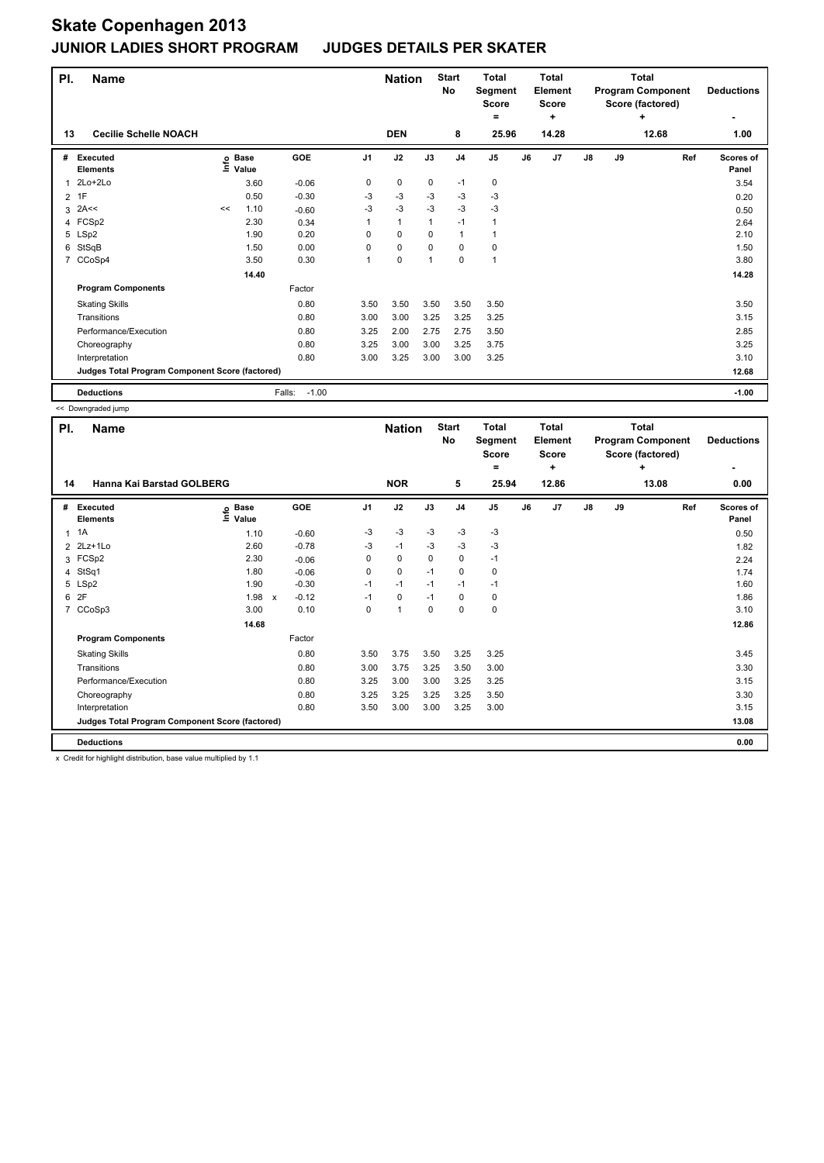| PI.            | <b>Name</b>                                     |    |                                  |                   |                | <b>Nation</b> |                | <b>Start</b><br>No | <b>Total</b><br>Segment<br><b>Score</b><br>۰ |    | <b>Total</b><br><b>Element</b><br><b>Score</b><br>÷ |               |    | <b>Total</b><br><b>Program Component</b><br>Score (factored)<br>÷ | <b>Deductions</b>  |
|----------------|-------------------------------------------------|----|----------------------------------|-------------------|----------------|---------------|----------------|--------------------|----------------------------------------------|----|-----------------------------------------------------|---------------|----|-------------------------------------------------------------------|--------------------|
| 13             | <b>Cecilie Schelle NOACH</b>                    |    |                                  |                   |                | <b>DEN</b>    |                | 8                  | 25.96                                        |    | 14.28                                               |               |    | 12.68                                                             | 1.00               |
| #              | <b>Executed</b><br><b>Elements</b>              |    | <b>Base</b><br>e Base<br>⊆ Value | GOE               | J <sub>1</sub> | J2            | J3             | J <sub>4</sub>     | J <sub>5</sub>                               | J6 | J7                                                  | $\mathsf{J}8$ | J9 | Ref                                                               | Scores of<br>Panel |
| 1              | 2Lo+2Lo                                         |    | 3.60                             | $-0.06$           | 0              | $\pmb{0}$     | $\mathbf 0$    | $-1$               | $\pmb{0}$                                    |    |                                                     |               |    |                                                                   | 3.54               |
| 2              | 1F                                              |    | 0.50                             | $-0.30$           | -3             | $-3$          | $-3$           | $-3$               | $-3$                                         |    |                                                     |               |    |                                                                   | 0.20               |
| 3              | 2A<<                                            | << | 1.10                             | $-0.60$           | $-3$           | $-3$          | $-3$           | $-3$               | $-3$                                         |    |                                                     |               |    |                                                                   | 0.50               |
|                | 4 FCSp2                                         |    | 2.30                             | 0.34              |                | $\mathbf{1}$  | 1              | $-1$               | 1                                            |    |                                                     |               |    |                                                                   | 2.64               |
|                | 5 LSp2                                          |    | 1.90                             | 0.20              | 0              | $\mathbf 0$   | 0              | $\mathbf{1}$       |                                              |    |                                                     |               |    |                                                                   | 2.10               |
| 6              | StSqB                                           |    | 1.50                             | 0.00              | 0              | $\mathbf 0$   | $\Omega$       | $\mathbf 0$        | $\mathbf 0$                                  |    |                                                     |               |    |                                                                   | 1.50               |
| $\overline{7}$ | CCoSp4                                          |    | 3.50                             | 0.30              |                | $\mathbf 0$   | $\overline{1}$ | $\mathbf 0$        | 1                                            |    |                                                     |               |    |                                                                   | 3.80               |
|                |                                                 |    | 14.40                            |                   |                |               |                |                    |                                              |    |                                                     |               |    |                                                                   | 14.28              |
|                | <b>Program Components</b>                       |    |                                  | Factor            |                |               |                |                    |                                              |    |                                                     |               |    |                                                                   |                    |
|                | <b>Skating Skills</b>                           |    |                                  | 0.80              | 3.50           | 3.50          | 3.50           | 3.50               | 3.50                                         |    |                                                     |               |    |                                                                   | 3.50               |
|                | Transitions                                     |    |                                  | 0.80              | 3.00           | 3.00          | 3.25           | 3.25               | 3.25                                         |    |                                                     |               |    |                                                                   | 3.15               |
|                | Performance/Execution                           |    |                                  | 0.80              | 3.25           | 2.00          | 2.75           | 2.75               | 3.50                                         |    |                                                     |               |    |                                                                   | 2.85               |
|                | Choreography                                    |    |                                  | 0.80              | 3.25           | 3.00          | 3.00           | 3.25               | 3.75                                         |    |                                                     |               |    |                                                                   | 3.25               |
|                | Interpretation                                  |    |                                  | 0.80              | 3.00           | 3.25          | 3.00           | 3.00               | 3.25                                         |    |                                                     |               |    |                                                                   | 3.10               |
|                | Judges Total Program Component Score (factored) |    |                                  |                   |                |               |                |                    |                                              |    |                                                     |               |    |                                                                   | 12.68              |
|                | <b>Deductions</b>                               |    |                                  | $-1.00$<br>Falls: |                |               |                |                    |                                              |    |                                                     |               |    |                                                                   | $-1.00$            |

<< Downgraded jump

| PI.            | <b>Name</b>                                     |                                   |         |                |             |          | <b>Start</b><br>No | <b>Total</b><br>Segment<br><b>Score</b><br>٠ |    | <b>Total</b><br>Element<br><b>Score</b><br>÷ |               |    | Total<br><b>Program Component</b><br>Score (factored)<br>÷ | <b>Deductions</b>         |
|----------------|-------------------------------------------------|-----------------------------------|---------|----------------|-------------|----------|--------------------|----------------------------------------------|----|----------------------------------------------|---------------|----|------------------------------------------------------------|---------------------------|
| 14             | Hanna Kai Barstad GOLBERG                       |                                   |         |                | <b>NOR</b>  |          | 5                  | 25.94                                        |    | 12.86                                        |               |    | 13.08                                                      | 0.00                      |
| #              | <b>Executed</b><br><b>Elements</b>              | <b>Base</b><br>Info<br>Value      | GOE     | J <sub>1</sub> | J2          | J3       | J <sub>4</sub>     | J <sub>5</sub>                               | J6 | J <sub>7</sub>                               | $\mathsf{J}8$ | J9 | Ref                                                        | <b>Scores of</b><br>Panel |
| $\overline{1}$ | 1A                                              | 1.10                              | $-0.60$ | $-3$           | $-3$        | $-3$     | $-3$               | $-3$                                         |    |                                              |               |    |                                                            | 0.50                      |
|                | 2 2Lz+1Lo                                       | 2.60                              | $-0.78$ | $-3$           | $-1$        | -3       | $-3$               | $-3$                                         |    |                                              |               |    |                                                            | 1.82                      |
|                | 3 FCSp2                                         | 2.30                              | $-0.06$ | 0              | 0           | 0        | 0                  | $-1$                                         |    |                                              |               |    |                                                            | 2.24                      |
| 4              | StSq1                                           | 1.80                              | $-0.06$ | 0              | $\mathbf 0$ | $-1$     | $\mathbf 0$        | 0                                            |    |                                              |               |    |                                                            | 1.74                      |
|                | 5 LSp2                                          | 1.90                              | $-0.30$ | $-1$           | $-1$        | $-1$     | $-1$               | $-1$                                         |    |                                              |               |    |                                                            | 1.60                      |
| 6              | 2F                                              | 1.98<br>$\boldsymbol{\mathsf{x}}$ | $-0.12$ | $-1$           | 0           | $-1$     | 0                  | 0                                            |    |                                              |               |    |                                                            | 1.86                      |
| $\overline{7}$ | CCoSp3                                          | 3.00                              | 0.10    | $\Omega$       | 1           | $\Omega$ | $\Omega$           | $\mathbf 0$                                  |    |                                              |               |    |                                                            | 3.10                      |
|                |                                                 | 14.68                             |         |                |             |          |                    |                                              |    |                                              |               |    |                                                            | 12.86                     |
|                | <b>Program Components</b>                       |                                   | Factor  |                |             |          |                    |                                              |    |                                              |               |    |                                                            |                           |
|                | <b>Skating Skills</b>                           |                                   | 0.80    | 3.50           | 3.75        | 3.50     | 3.25               | 3.25                                         |    |                                              |               |    |                                                            | 3.45                      |
|                | Transitions                                     |                                   | 0.80    | 3.00           | 3.75        | 3.25     | 3.50               | 3.00                                         |    |                                              |               |    |                                                            | 3.30                      |
|                | Performance/Execution                           |                                   | 0.80    | 3.25           | 3.00        | 3.00     | 3.25               | 3.25                                         |    |                                              |               |    |                                                            | 3.15                      |
|                | Choreography                                    |                                   | 0.80    | 3.25           | 3.25        | 3.25     | 3.25               | 3.50                                         |    |                                              |               |    |                                                            | 3.30                      |
|                | Interpretation                                  |                                   | 0.80    | 3.50           | 3.00        | 3.00     | 3.25               | 3.00                                         |    |                                              |               |    |                                                            | 3.15                      |
|                | Judges Total Program Component Score (factored) |                                   |         |                |             |          |                    |                                              |    |                                              |               |    |                                                            | 13.08                     |
|                | <b>Deductions</b>                               |                                   |         |                |             |          |                    |                                              |    |                                              |               |    |                                                            | 0.00                      |

x Credit for highlight distribution, base value multiplied by 1.1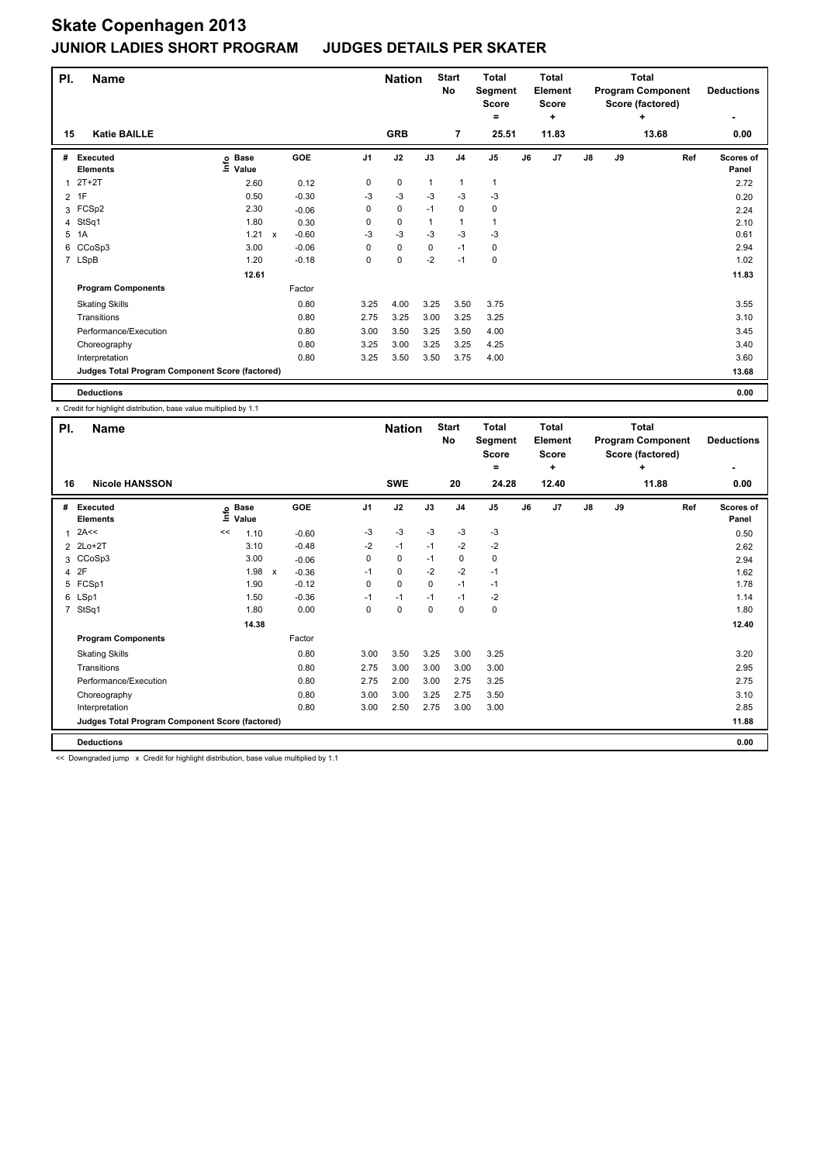| PI.            | <b>Name</b><br><b>Katie BAILLE</b>              |                            |                           |         |      | <b>Nation</b> |              | <b>Start</b><br>No | <b>Total</b><br>Segment<br><b>Score</b><br>$\equiv$ |    | <b>Total</b><br><b>Element</b><br><b>Score</b><br>٠ |    |    | <b>Total</b><br><b>Program Component</b><br>Score (factored)<br>+ | <b>Deductions</b>         |
|----------------|-------------------------------------------------|----------------------------|---------------------------|---------|------|---------------|--------------|--------------------|-----------------------------------------------------|----|-----------------------------------------------------|----|----|-------------------------------------------------------------------|---------------------------|
| 15             |                                                 |                            |                           |         |      | <b>GRB</b>    |              | $\overline{7}$     | 25.51                                               |    | 11.83                                               |    |    | 13.68                                                             | 0.00                      |
| #              | <b>Executed</b><br><b>Elements</b>              | e Base<br>⊆ Value<br>Value |                           | GOE     | J1   | J2            | J3           | J <sub>4</sub>     | J <sub>5</sub>                                      | J6 | J7                                                  | J8 | J9 | Ref                                                               | <b>Scores of</b><br>Panel |
| 1              | $2T+2T$                                         | 2.60                       |                           | 0.12    | 0    | 0             | $\mathbf{1}$ | 1                  | 1                                                   |    |                                                     |    |    |                                                                   | 2.72                      |
| $\overline{2}$ | 1F                                              | 0.50                       |                           | $-0.30$ | -3   | $-3$          | $-3$         | $-3$               | $-3$                                                |    |                                                     |    |    |                                                                   | 0.20                      |
| 3              | FCSp2                                           | 2.30                       |                           | $-0.06$ | 0    | 0             | $-1$         | 0                  | 0                                                   |    |                                                     |    |    |                                                                   | 2.24                      |
|                | 4 StSq1                                         | 1.80                       |                           | 0.30    | 0    | 0             | $\mathbf{1}$ | $\mathbf{1}$       | 1                                                   |    |                                                     |    |    |                                                                   | 2.10                      |
|                | 5 1A                                            | 1.21                       | $\boldsymbol{\mathsf{x}}$ | $-0.60$ | $-3$ | $-3$          | $-3$         | $-3$               | $-3$                                                |    |                                                     |    |    |                                                                   | 0.61                      |
| 6              | CCoSp3                                          | 3.00                       |                           | $-0.06$ | 0    | $\mathbf 0$   | $\mathbf 0$  | $-1$               | 0                                                   |    |                                                     |    |    |                                                                   | 2.94                      |
|                | 7 LSpB                                          | 1.20                       |                           | $-0.18$ | 0    | 0             | $-2$         | $-1$               | 0                                                   |    |                                                     |    |    |                                                                   | 1.02                      |
|                |                                                 | 12.61                      |                           |         |      |               |              |                    |                                                     |    |                                                     |    |    |                                                                   | 11.83                     |
|                | <b>Program Components</b>                       |                            |                           | Factor  |      |               |              |                    |                                                     |    |                                                     |    |    |                                                                   |                           |
|                | <b>Skating Skills</b>                           |                            |                           | 0.80    | 3.25 | 4.00          | 3.25         | 3.50               | 3.75                                                |    |                                                     |    |    |                                                                   | 3.55                      |
|                | Transitions                                     |                            |                           | 0.80    | 2.75 | 3.25          | 3.00         | 3.25               | 3.25                                                |    |                                                     |    |    |                                                                   | 3.10                      |
|                | Performance/Execution                           |                            |                           | 0.80    | 3.00 | 3.50          | 3.25         | 3.50               | 4.00                                                |    |                                                     |    |    |                                                                   | 3.45                      |
|                | Choreography                                    |                            |                           | 0.80    | 3.25 | 3.00          | 3.25         | 3.25               | 4.25                                                |    |                                                     |    |    |                                                                   | 3.40                      |
|                | Interpretation                                  |                            |                           | 0.80    | 3.25 | 3.50          | 3.50         | 3.75               | 4.00                                                |    |                                                     |    |    |                                                                   | 3.60                      |
|                | Judges Total Program Component Score (factored) |                            |                           |         |      |               |              |                    |                                                     |    |                                                     |    |    |                                                                   | 13.68                     |
|                | <b>Deductions</b>                               |                            |                           |         |      |               |              |                    |                                                     |    |                                                     |    |    |                                                                   | 0.00                      |

x Credit for highlight distribution, base value multiplied by 1.1

| PI.<br><b>Name</b> |                                                 |       |                 |                         |             | <b>Nation</b> |          | <b>Start</b><br><b>No</b> | <b>Total</b><br>Segment<br><b>Score</b><br>= |    | Total<br><b>Element</b><br>Score<br>÷ |               |    | Total<br><b>Program Component</b><br>Score (factored)<br>$\ddot{}$ | <b>Deductions</b>  |
|--------------------|-------------------------------------------------|-------|-----------------|-------------------------|-------------|---------------|----------|---------------------------|----------------------------------------------|----|---------------------------------------|---------------|----|--------------------------------------------------------------------|--------------------|
| 16                 | <b>Nicole HANSSON</b>                           |       |                 |                         |             | <b>SWE</b>    |          | 20                        | 24.28                                        |    | 12.40                                 |               |    | 11.88                                                              | 0.00               |
| #                  | Executed<br><b>Elements</b>                     | Ξ     | o Base<br>Value | GOE                     | J1          | J2            | J3       | J <sub>4</sub>            | J5                                           | J6 | J <sub>7</sub>                        | $\mathsf{J}8$ | J9 | Ref                                                                | Scores of<br>Panel |
| $\mathbf{1}$       | 2A<<                                            | <<    | 1.10            | $-0.60$                 | $-3$        | $-3$          | $-3$     | $-3$                      | $-3$                                         |    |                                       |               |    |                                                                    | 0.50               |
|                    | 2 2Lo+2T                                        |       | 3.10            | $-0.48$                 | $-2$        | $-1$          | $-1$     | $-2$                      | $-2$                                         |    |                                       |               |    |                                                                    | 2.62               |
|                    | 3 CCoSp3                                        |       | 3.00            | $-0.06$                 | $\mathbf 0$ | $\mathbf 0$   | $-1$     | 0                         | $\mathbf 0$                                  |    |                                       |               |    |                                                                    | 2.94               |
|                    | 4 2F                                            |       | 1.98            | $-0.36$<br>$\mathsf{x}$ | $-1$        | $\mathbf 0$   | $-2$     | $-2$                      | $-1$                                         |    |                                       |               |    |                                                                    | 1.62               |
|                    | 5 FCSp1                                         |       | 1.90            | $-0.12$                 | 0           | $\mathbf 0$   | 0        | $-1$                      | $-1$                                         |    |                                       |               |    |                                                                    | 1.78               |
|                    | 6 LSp1                                          |       | 1.50            | $-0.36$                 | $-1$        | $-1$          | $-1$     | $-1$                      | $-2$                                         |    |                                       |               |    |                                                                    | 1.14               |
|                    | 7 StSq1                                         |       | 1.80            | 0.00                    | 0           | 0             | $\Omega$ | $\mathbf 0$               | $\pmb{0}$                                    |    |                                       |               |    |                                                                    | 1.80               |
|                    |                                                 | 14.38 |                 |                         |             |               |          |                           |                                              |    |                                       |               |    |                                                                    | 12.40              |
|                    | <b>Program Components</b>                       |       |                 | Factor                  |             |               |          |                           |                                              |    |                                       |               |    |                                                                    |                    |
|                    | <b>Skating Skills</b>                           |       |                 | 0.80                    | 3.00        | 3.50          | 3.25     | 3.00                      | 3.25                                         |    |                                       |               |    |                                                                    | 3.20               |
|                    | Transitions                                     |       |                 | 0.80                    | 2.75        | 3.00          | 3.00     | 3.00                      | 3.00                                         |    |                                       |               |    |                                                                    | 2.95               |
|                    | Performance/Execution                           |       |                 | 0.80                    | 2.75        | 2.00          | 3.00     | 2.75                      | 3.25                                         |    |                                       |               |    |                                                                    | 2.75               |
|                    | Choreography                                    |       |                 | 0.80                    | 3.00        | 3.00          | 3.25     | 2.75                      | 3.50                                         |    |                                       |               |    |                                                                    | 3.10               |
|                    | Interpretation                                  |       |                 | 0.80                    | 3.00        | 2.50          | 2.75     | 3.00                      | 3.00                                         |    |                                       |               |    |                                                                    | 2.85               |
|                    | Judges Total Program Component Score (factored) |       |                 |                         |             |               |          |                           |                                              |    |                                       |               |    |                                                                    | 11.88              |
|                    | <b>Deductions</b>                               |       |                 |                         |             |               |          |                           |                                              |    |                                       |               |    |                                                                    | 0.00               |

<< Downgraded jump x Credit for highlight distribution, base value multiplied by 1.1